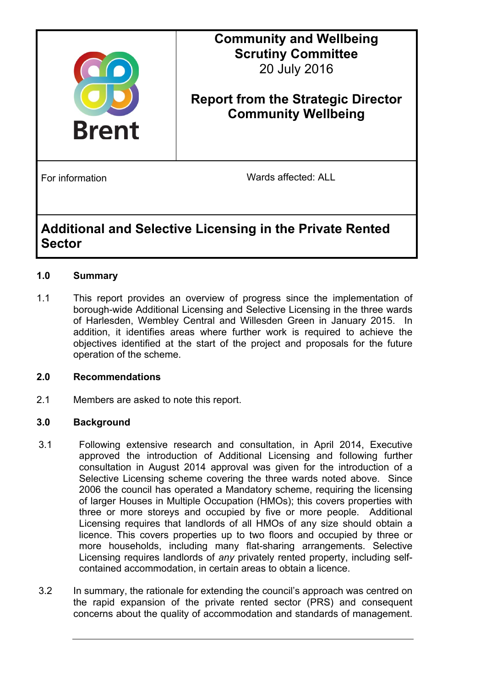

# **Community and Wellbeing Scrutiny Committee** 20 July 2016

# **Report from the Strategic Director Community Wellbeing**

For information **For information** Wards affected: ALL

# **Additional and Selective Licensing in the Private Rented Sector**

# **1.0 Summary**

1.1 This report provides an overview of progress since the implementation of borough-wide Additional Licensing and Selective Licensing in the three wards of Harlesden, Wembley Central and Willesden Green in January 2015. In addition, it identifies areas where further work is required to achieve the objectives identified at the start of the project and proposals for the future operation of the scheme.

# **2.0 Recommendations**

2.1 Members are asked to note this report.

# **3.0 Background**

- 3.1 Following extensive research and consultation, in April 2014, Executive approved the introduction of Additional Licensing and following further consultation in August 2014 approval was given for the introduction of a Selective Licensing scheme covering the three wards noted above. Since 2006 the council has operated a Mandatory scheme, requiring the licensing of larger Houses in Multiple Occupation (HMOs); this covers properties with three or more storeys and occupied by five or more people. Additional Licensing requires that landlords of all HMOs of any size should obtain a licence. This covers properties up to two floors and occupied by three or more households, including many flat-sharing arrangements. Selective Licensing requires landlords of *any* privately rented property, including selfcontained accommodation, in certain areas to obtain a licence.
- 3.2 In summary, the rationale for extending the council's approach was centred on the rapid expansion of the private rented sector (PRS) and consequent concerns about the quality of accommodation and standards of management.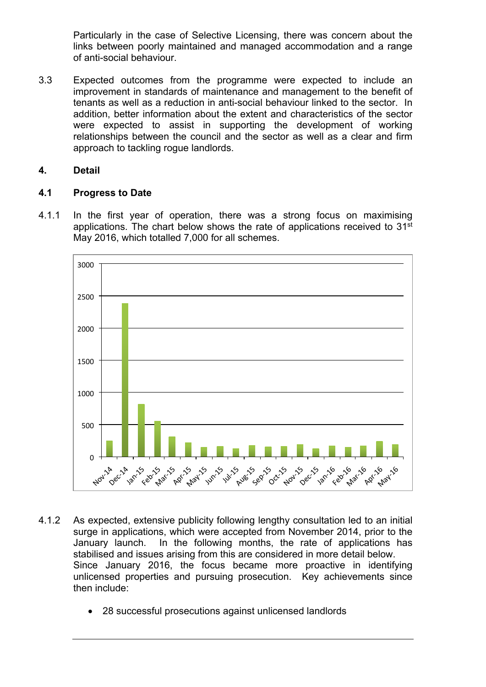Particularly in the case of Selective Licensing, there was concern about the links between poorly maintained and managed accommodation and a range of anti-social behaviour.

3.3 Expected outcomes from the programme were expected to include an improvement in standards of maintenance and management to the benefit of tenants as well as a reduction in anti-social behaviour linked to the sector. In addition, better information about the extent and characteristics of the sector were expected to assist in supporting the development of working relationships between the council and the sector as well as a clear and firm approach to tackling rogue landlords.

### **4. Detail**

### **4.1 Progress to Date**

4.1.1 In the first year of operation, there was a strong focus on maximising applications. The chart below shows the rate of applications received to  $31<sup>st</sup>$ May 2016, which totalled 7,000 for all schemes.



- 4.1.2 As expected, extensive publicity following lengthy consultation led to an initial surge in applications, which were accepted from November 2014, prior to the January launch. In the following months, the rate of applications has stabilised and issues arising from this are considered in more detail below. Since January 2016, the focus became more proactive in identifying unlicensed properties and pursuing prosecution. Key achievements since then include:
	- 28 successful prosecutions against unlicensed landlords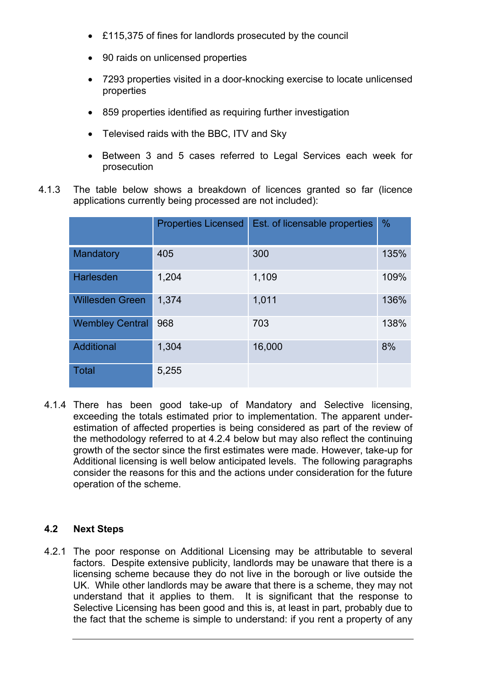- £115,375 of fines for landlords prosecuted by the council
- 90 raids on unlicensed properties
- 7293 properties visited in a door-knocking exercise to locate unlicensed properties
- 859 properties identified as requiring further investigation
- Televised raids with the BBC, ITV and Sky
- Between 3 and 5 cases referred to Legal Services each week for prosecution
- 4.1.3 The table below shows a breakdown of licences granted so far (licence applications currently being processed are not included):

|                        | <b>Properties Licensed</b> | Est. of licensable properties | %    |
|------------------------|----------------------------|-------------------------------|------|
| Mandatory              | 405                        | 300                           | 135% |
| <b>Harlesden</b>       | 1,204                      | 1,109                         | 109% |
| <b>Willesden Green</b> | 1,374                      | 1,011                         | 136% |
| <b>Wembley Central</b> | 968                        | 703                           | 138% |
| Additional             | 1,304                      | 16,000                        | 8%   |
| <b>Total</b>           | 5,255                      |                               |      |

4.1.4 There has been good take-up of Mandatory and Selective licensing, exceeding the totals estimated prior to implementation. The apparent underestimation of affected properties is being considered as part of the review of the methodology referred to at 4.2.4 below but may also reflect the continuing growth of the sector since the first estimates were made. However, take-up for Additional licensing is well below anticipated levels. The following paragraphs consider the reasons for this and the actions under consideration for the future operation of the scheme.

#### **4.2 Next Steps**

4.2.1 The poor response on Additional Licensing may be attributable to several factors. Despite extensive publicity, landlords may be unaware that there is a licensing scheme because they do not live in the borough or live outside the UK. While other landlords may be aware that there is a scheme, they may not understand that it applies to them. It is significant that the response to Selective Licensing has been good and this is, at least in part, probably due to the fact that the scheme is simple to understand: if you rent a property of any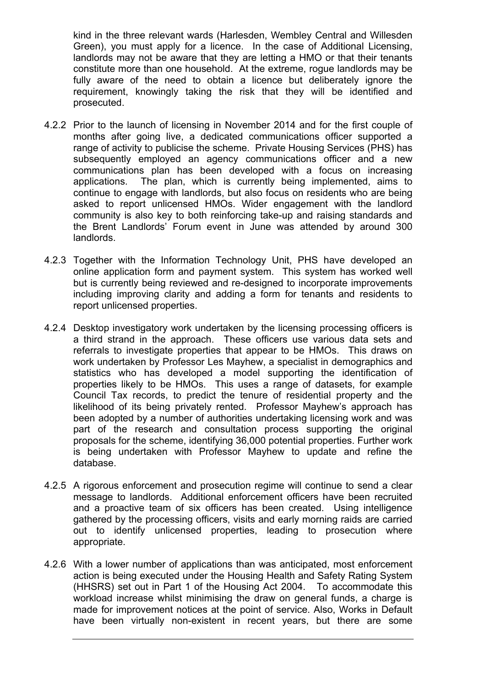kind in the three relevant wards (Harlesden, Wembley Central and Willesden Green), you must apply for a licence. In the case of Additional Licensing, landlords may not be aware that they are letting a HMO or that their tenants constitute more than one household. At the extreme, rogue landlords may be fully aware of the need to obtain a licence but deliberately ignore the requirement, knowingly taking the risk that they will be identified and prosecuted.

- 4.2.2 Prior to the launch of licensing in November 2014 and for the first couple of months after going live, a dedicated communications officer supported a range of activity to publicise the scheme. Private Housing Services (PHS) has subsequently employed an agency communications officer and a new communications plan has been developed with a focus on increasing applications. The plan, which is currently being implemented, aims to continue to engage with landlords, but also focus on residents who are being asked to report unlicensed HMOs. Wider engagement with the landlord community is also key to both reinforcing take-up and raising standards and the Brent Landlords' Forum event in June was attended by around 300 landlords.
- 4.2.3 Together with the Information Technology Unit, PHS have developed an online application form and payment system. This system has worked well but is currently being reviewed and re-designed to incorporate improvements including improving clarity and adding a form for tenants and residents to report unlicensed properties.
- 4.2.4 Desktop investigatory work undertaken by the licensing processing officers is a third strand in the approach. These officers use various data sets and referrals to investigate properties that appear to be HMOs. This draws on work undertaken by Professor Les Mayhew, a specialist in demographics and statistics who has developed a model supporting the identification of properties likely to be HMOs. This uses a range of datasets, for example Council Tax records, to predict the tenure of residential property and the likelihood of its being privately rented. Professor Mayhew's approach has been adopted by a number of authorities undertaking licensing work and was part of the research and consultation process supporting the original proposals for the scheme, identifying 36,000 potential properties. Further work is being undertaken with Professor Mayhew to update and refine the database.
- 4.2.5 A rigorous enforcement and prosecution regime will continue to send a clear message to landlords. Additional enforcement officers have been recruited and a proactive team of six officers has been created. Using intelligence gathered by the processing officers, visits and early morning raids are carried out to identify unlicensed properties, leading to prosecution where appropriate.
- 4.2.6 With a lower number of applications than was anticipated, most enforcement action is being executed under the Housing Health and Safety Rating System (HHSRS) set out in Part 1 of the Housing Act 2004. To accommodate this workload increase whilst minimising the draw on general funds, a charge is made for improvement notices at the point of service. Also, Works in Default have been virtually non-existent in recent years, but there are some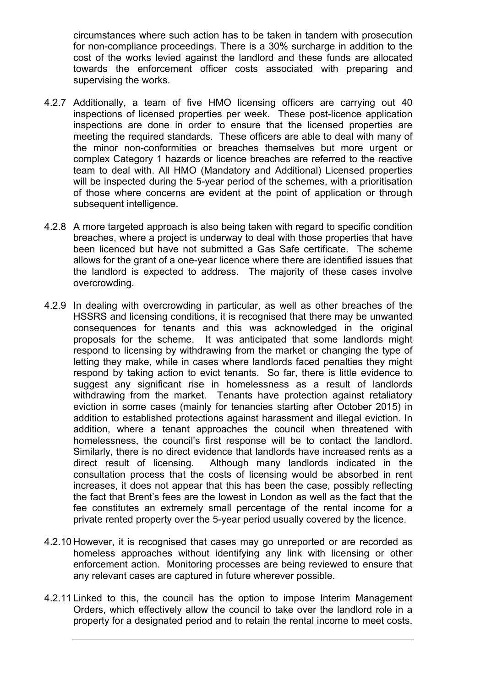circumstances where such action has to be taken in tandem with prosecution for non-compliance proceedings. There is a 30% surcharge in addition to the cost of the works levied against the landlord and these funds are allocated towards the enforcement officer costs associated with preparing and supervising the works.

- 4.2.7 Additionally, a team of five HMO licensing officers are carrying out 40 inspections of licensed properties per week. These post-licence application inspections are done in order to ensure that the licensed properties are meeting the required standards. These officers are able to deal with many of the minor non-conformities or breaches themselves but more urgent or complex Category 1 hazards or licence breaches are referred to the reactive team to deal with. All HMO (Mandatory and Additional) Licensed properties will be inspected during the 5-year period of the schemes, with a prioritisation of those where concerns are evident at the point of application or through subsequent intelligence.
- 4.2.8 A more targeted approach is also being taken with regard to specific condition breaches, where a project is underway to deal with those properties that have been licenced but have not submitted a Gas Safe certificate. The scheme allows for the grant of a one-year licence where there are identified issues that the landlord is expected to address. The majority of these cases involve overcrowding.
- 4.2.9 In dealing with overcrowding in particular, as well as other breaches of the HSSRS and licensing conditions, it is recognised that there may be unwanted consequences for tenants and this was acknowledged in the original proposals for the scheme. It was anticipated that some landlords might respond to licensing by withdrawing from the market or changing the type of letting they make, while in cases where landlords faced penalties they might respond by taking action to evict tenants. So far, there is little evidence to suggest any significant rise in homelessness as a result of landlords withdrawing from the market. Tenants have protection against retaliatory eviction in some cases (mainly for tenancies starting after October 2015) in addition to established protections against harassment and illegal eviction. In addition, where a tenant approaches the council when threatened with homelessness, the council's first response will be to contact the landlord. Similarly, there is no direct evidence that landlords have increased rents as a direct result of licensing. Although many landlords indicated in the consultation process that the costs of licensing would be absorbed in rent increases, it does not appear that this has been the case, possibly reflecting the fact that Brent's fees are the lowest in London as well as the fact that the fee constitutes an extremely small percentage of the rental income for a private rented property over the 5-year period usually covered by the licence.
- 4.2.10 However, it is recognised that cases may go unreported or are recorded as homeless approaches without identifying any link with licensing or other enforcement action. Monitoring processes are being reviewed to ensure that any relevant cases are captured in future wherever possible.
- 4.2.11 Linked to this, the council has the option to impose Interim Management Orders, which effectively allow the council to take over the landlord role in a property for a designated period and to retain the rental income to meet costs.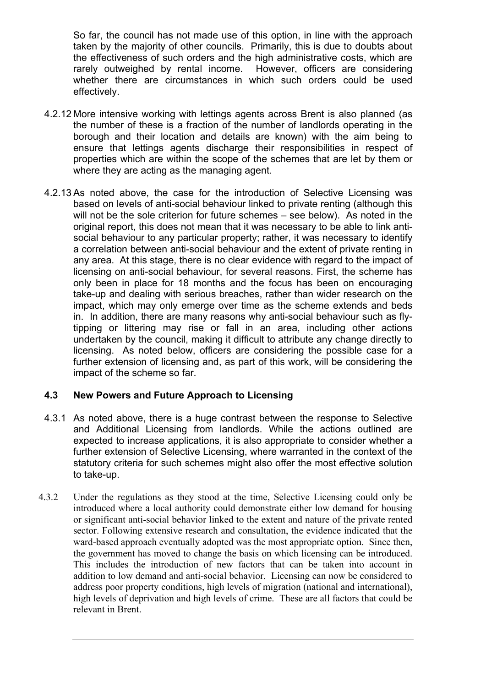So far, the council has not made use of this option, in line with the approach taken by the majority of other councils. Primarily, this is due to doubts about the effectiveness of such orders and the high administrative costs, which are rarely outweighed by rental income. However, officers are considering whether there are circumstances in which such orders could be used effectively.

- 4.2.12 More intensive working with lettings agents across Brent is also planned (as the number of these is a fraction of the number of landlords operating in the borough and their location and details are known) with the aim being to ensure that lettings agents discharge their responsibilities in respect of properties which are within the scope of the schemes that are let by them or where they are acting as the managing agent.
- 4.2.13 As noted above, the case for the introduction of Selective Licensing was based on levels of anti-social behaviour linked to private renting (although this will not be the sole criterion for future schemes – see below). As noted in the original report, this does not mean that it was necessary to be able to link antisocial behaviour to any particular property; rather, it was necessary to identify a correlation between anti-social behaviour and the extent of private renting in any area. At this stage, there is no clear evidence with regard to the impact of licensing on anti-social behaviour, for several reasons. First, the scheme has only been in place for 18 months and the focus has been on encouraging take-up and dealing with serious breaches, rather than wider research on the impact, which may only emerge over time as the scheme extends and beds in. In addition, there are many reasons why anti-social behaviour such as flytipping or littering may rise or fall in an area, including other actions undertaken by the council, making it difficult to attribute any change directly to licensing. As noted below, officers are considering the possible case for a further extension of licensing and, as part of this work, will be considering the impact of the scheme so far.

# **4.3 New Powers and Future Approach to Licensing**

- 4.3.1 As noted above, there is a huge contrast between the response to Selective and Additional Licensing from landlords. While the actions outlined are expected to increase applications, it is also appropriate to consider whether a further extension of Selective Licensing, where warranted in the context of the statutory criteria for such schemes might also offer the most effective solution to take-up.
- 4.3.2 Under the regulations as they stood at the time, Selective Licensing could only be introduced where a local authority could demonstrate either low demand for housing or significant anti-social behavior linked to the extent and nature of the private rented sector. Following extensive research and consultation, the evidence indicated that the ward-based approach eventually adopted was the most appropriate option. Since then, the government has moved to change the basis on which licensing can be introduced. This includes the introduction of new factors that can be taken into account in addition to low demand and anti-social behavior. Licensing can now be considered to address poor property conditions, high levels of migration (national and international), high levels of deprivation and high levels of crime. These are all factors that could be relevant in Brent.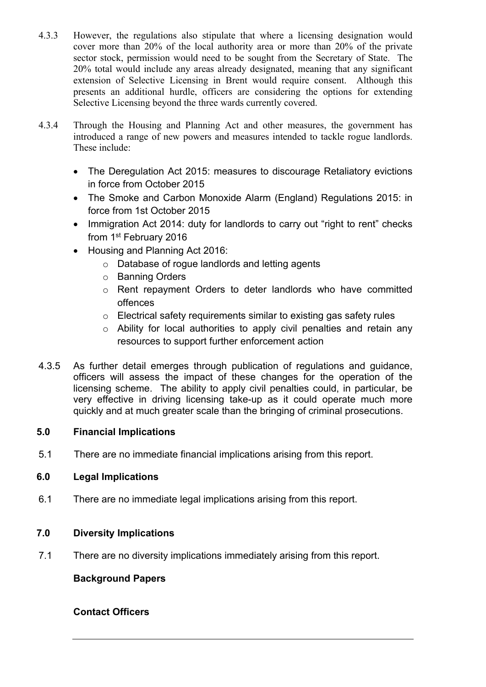- 4.3.3 However, the regulations also stipulate that where a licensing designation would cover more than 20% of the local authority area or more than 20% of the private sector stock, permission would need to be sought from the Secretary of State. The 20% total would include any areas already designated, meaning that any significant extension of Selective Licensing in Brent would require consent. Although this presents an additional hurdle, officers are considering the options for extending Selective Licensing beyond the three wards currently covered.
- 4.3.4 Through the Housing and Planning Act and other measures, the government has introduced a range of new powers and measures intended to tackle rogue landlords. These include:
	- The Deregulation Act 2015: measures to discourage Retaliatory evictions in force from October 2015
	- The Smoke and Carbon Monoxide Alarm (England) Regulations 2015: in force from 1st October 2015
	- Immigration Act 2014: duty for landlords to carry out "right to rent" checks from 1st February 2016
	- Housing and Planning Act 2016:
		- o Database of rogue landlords and letting agents
		- o Banning Orders
		- o Rent repayment Orders to deter landlords who have committed offences
		- o Electrical safety requirements similar to existing gas safety rules
		- o Ability for local authorities to apply civil penalties and retain any resources to support further enforcement action
- 4.3.5 As further detail emerges through publication of regulations and guidance, officers will assess the impact of these changes for the operation of the licensing scheme. The ability to apply civil penalties could, in particular, be very effective in driving licensing take-up as it could operate much more quickly and at much greater scale than the bringing of criminal prosecutions.

# **5.0 Financial Implications**

5.1 There are no immediate financial implications arising from this report.

# **6.0 Legal Implications**

6.1 There are no immediate legal implications arising from this report.

# **7.0 Diversity Implications**

7.1 There are no diversity implications immediately arising from this report.

#### **Background Papers**

# **Contact Officers**